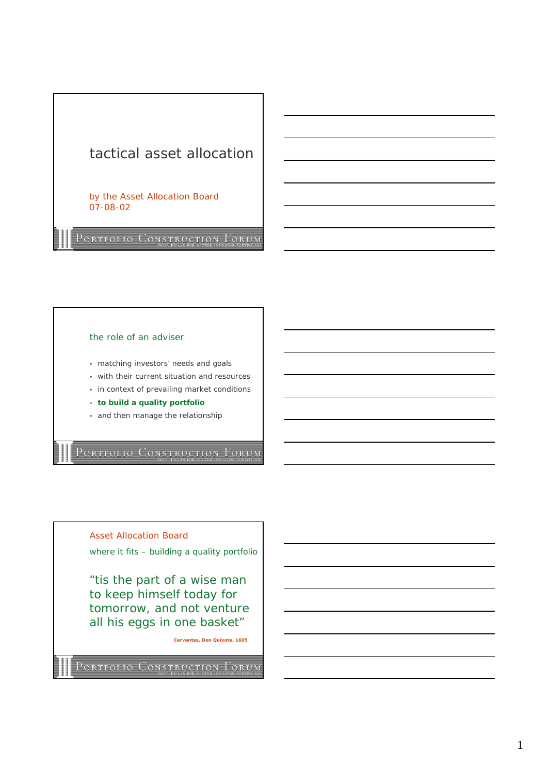# tactical asset allocation

by the Asset Allocation Board 07-08-02

PORTFOLIO CONSTRUCTION FORUM

## the role of an adviser

- matching investors' needs and goals
- with their current situation and resources
- in context of prevailing market conditions
- **to build a quality portfolio**
- and then manage the relationship

PORTFOLIO CONSTRUCTION FORUM

Asset Allocation Board

where it fits - building a quality portfolio

"tis the part of a wise man to keep himself today for tomorrow, and not venture all his eggs in one basket"

**Cervantes, Don Quixote, 1605**

PORTFOLIO CONSTRUCTION FORUM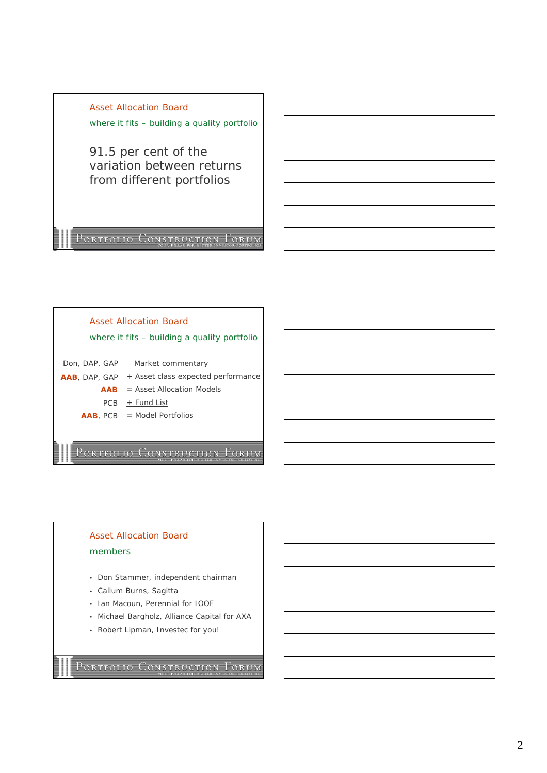Asset Allocation Board where it fits - building a quality portfolio

91.5 per cent of the variation between returns from different portfolios

PORTFOLIO CONSTRUCTION FORUM



## Asset Allocation Board members

- Don Stammer, independent chairman
- Callum Burns, Sagitta
- Ian Macoun, Perennial for IOOF
- Michael Bargholz, Alliance Capital for AXA
- Robert Lipman, Investec for you!

PORTFOLIO CONSTRUCTION FORUM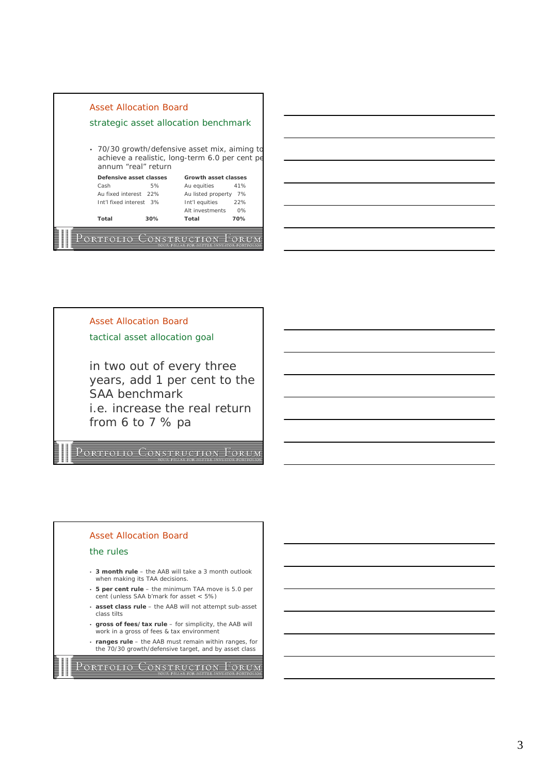

Asset Allocation Board tactical asset allocation goal in two out of every three

years, add 1 per cent to the SAA benchmark i.e. increase the real return from 6 to 7 % pa

PORTFOLIO CONSTRUCTION FORUM

### Asset Allocation Board

#### the rules

- **3 month rule**  the AAB will take a 3 month outlook when making its TAA decisions.
- **5 per cent rule**  the minimum TAA move is 5.0 per cent (unless SAA b'mark for asset < 5%)
- **asset class rule**  the AAB will not attempt sub-asset class tilts
- **gross of fees/tax rule**  for simplicity, the AAB will work in a gross of fees & tax environment
- **ranges rule**  the AAB must remain within ranges, for the 70/30 growth/defensive target, and by asset class

PORTFOLIO CONSTRUCTION FORUM